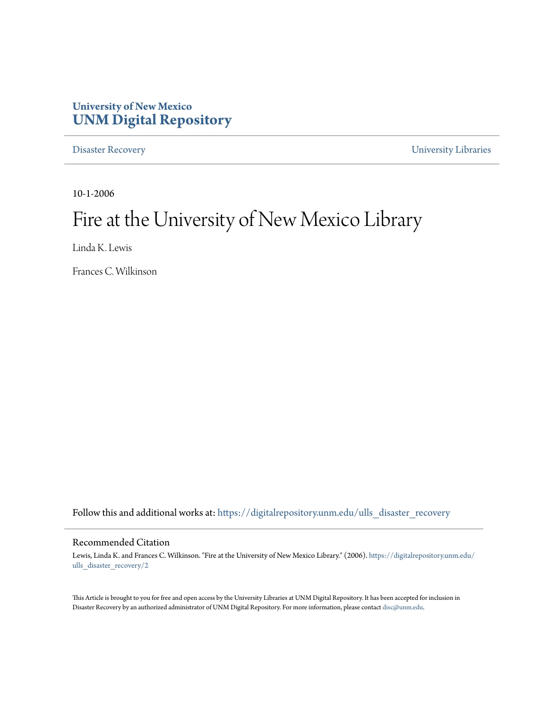# **University of New Mexico [UNM Digital Repository](https://digitalrepository.unm.edu?utm_source=digitalrepository.unm.edu%2Fulls_disaster_recovery%2F2&utm_medium=PDF&utm_campaign=PDFCoverPages)**

[Disaster Recovery](https://digitalrepository.unm.edu/ulls_disaster_recovery?utm_source=digitalrepository.unm.edu%2Fulls_disaster_recovery%2F2&utm_medium=PDF&utm_campaign=PDFCoverPages) [University Libraries](https://digitalrepository.unm.edu/libraries?utm_source=digitalrepository.unm.edu%2Fulls_disaster_recovery%2F2&utm_medium=PDF&utm_campaign=PDFCoverPages)

10-1-2006

# Fire at the University of New Mexico Library

Linda K. Lewis

Frances C. Wilkinson

Follow this and additional works at: [https://digitalrepository.unm.edu/ulls\\_disaster\\_recovery](https://digitalrepository.unm.edu/ulls_disaster_recovery?utm_source=digitalrepository.unm.edu%2Fulls_disaster_recovery%2F2&utm_medium=PDF&utm_campaign=PDFCoverPages)

#### Recommended Citation

Lewis, Linda K. and Frances C. Wilkinson. "Fire at the University of New Mexico Library." (2006). [https://digitalrepository.unm.edu/](https://digitalrepository.unm.edu/ulls_disaster_recovery/2?utm_source=digitalrepository.unm.edu%2Fulls_disaster_recovery%2F2&utm_medium=PDF&utm_campaign=PDFCoverPages) [ulls\\_disaster\\_recovery/2](https://digitalrepository.unm.edu/ulls_disaster_recovery/2?utm_source=digitalrepository.unm.edu%2Fulls_disaster_recovery%2F2&utm_medium=PDF&utm_campaign=PDFCoverPages)

This Article is brought to you for free and open access by the University Libraries at UNM Digital Repository. It has been accepted for inclusion in Disaster Recovery by an authorized administrator of UNM Digital Repository. For more information, please contact [disc@unm.edu.](mailto:disc@unm.edu)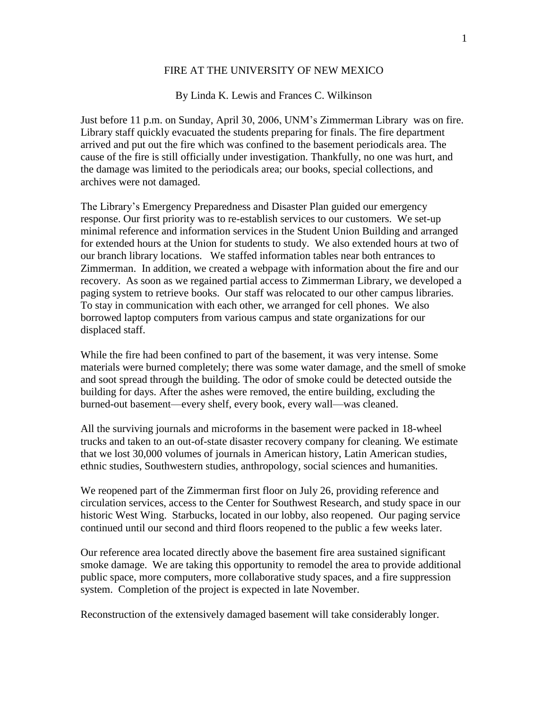## FIRE AT THE UNIVERSITY OF NEW MEXICO

## By Linda K. Lewis and Frances C. Wilkinson

Just before 11 p.m. on Sunday, April 30, 2006, UNM's Zimmerman Library was on fire. Library staff quickly evacuated the students preparing for finals. The fire department arrived and put out the fire which was confined to the basement periodicals area. The cause of the fire is still officially under investigation. Thankfully, no one was hurt, and the damage was limited to the periodicals area; our books, special collections, and archives were not damaged.

The Library's Emergency Preparedness and Disaster Plan guided our emergency response. Our first priority was to re-establish services to our customers. We set-up minimal reference and information services in the Student Union Building and arranged for extended hours at the Union for students to study. We also extended hours at two of our branch library locations. We staffed information tables near both entrances to Zimmerman. In addition, we created a webpage with information about the fire and our recovery. As soon as we regained partial access to Zimmerman Library, we developed a paging system to retrieve books. Our staff was relocated to our other campus libraries. To stay in communication with each other, we arranged for cell phones. We also borrowed laptop computers from various campus and state organizations for our displaced staff.

While the fire had been confined to part of the basement, it was very intense. Some materials were burned completely; there was some water damage, and the smell of smoke and soot spread through the building. The odor of smoke could be detected outside the building for days. After the ashes were removed, the entire building, excluding the burned-out basement—every shelf, every book, every wall—was cleaned.

All the surviving journals and microforms in the basement were packed in 18-wheel trucks and taken to an out-of-state disaster recovery company for cleaning. We estimate that we lost 30,000 volumes of journals in American history, Latin American studies, ethnic studies, Southwestern studies, anthropology, social sciences and humanities.

We reopened part of the Zimmerman first floor on July 26, providing reference and circulation services, access to the Center for Southwest Research, and study space in our historic West Wing. Starbucks, located in our lobby, also reopened. Our paging service continued until our second and third floors reopened to the public a few weeks later.

Our reference area located directly above the basement fire area sustained significant smoke damage. We are taking this opportunity to remodel the area to provide additional public space, more computers, more collaborative study spaces, and a fire suppression system. Completion of the project is expected in late November.

Reconstruction of the extensively damaged basement will take considerably longer.